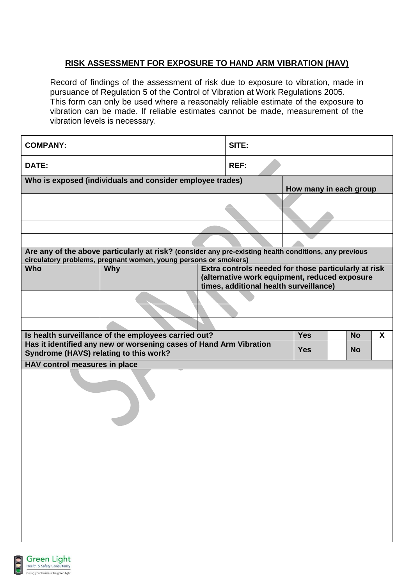## **RISK ASSESSMENT FOR EXPOSURE TO HAND ARM VIBRATION (HAV)**

Record of findings of the assessment of risk due to exposure to vibration, made in pursuance of Regulation 5 of the Control of Vibration at Work Regulations 2005. This form can only be used where a reasonably reliable estimate of the exposure to vibration can be made. If reliable estimates cannot be made, measurement of the vibration levels is necessary.

| <b>COMPANY:</b>                        |                                                                                                       |  | SITE:                                                |                        |  |           |                  |
|----------------------------------------|-------------------------------------------------------------------------------------------------------|--|------------------------------------------------------|------------------------|--|-----------|------------------|
| DATE:                                  | <b>REF:</b>                                                                                           |  |                                                      |                        |  |           |                  |
|                                        | Who is exposed (individuals and consider employee trades)                                             |  |                                                      | How many in each group |  |           |                  |
|                                        |                                                                                                       |  |                                                      |                        |  |           |                  |
|                                        |                                                                                                       |  |                                                      |                        |  |           |                  |
|                                        |                                                                                                       |  |                                                      |                        |  |           |                  |
|                                        |                                                                                                       |  |                                                      |                        |  |           |                  |
|                                        | Are any of the above particularly at risk? (consider any pre-existing health conditions, any previous |  |                                                      |                        |  |           |                  |
| <b>Who</b>                             | circulatory problems, pregnant women, young persons or smokers)<br><b>Why</b>                         |  | Extra controls needed for those particularly at risk |                        |  |           |                  |
|                                        |                                                                                                       |  | (alternative work equipment, reduced exposure        |                        |  |           |                  |
|                                        |                                                                                                       |  | times, additional health surveillance)               |                        |  |           |                  |
|                                        |                                                                                                       |  |                                                      |                        |  |           |                  |
|                                        |                                                                                                       |  |                                                      |                        |  |           |                  |
|                                        | Is health surveillance of the employees carried out?                                                  |  |                                                      | <b>Yes</b>             |  | <b>No</b> | $\boldsymbol{X}$ |
|                                        | Has it identified any new or worsening cases of Hand Arm Vibration                                    |  |                                                      |                        |  |           |                  |
| Syndrome (HAVS) relating to this work? |                                                                                                       |  |                                                      | <b>Yes</b>             |  | <b>No</b> |                  |
| HAV control measures in place          |                                                                                                       |  |                                                      |                        |  |           |                  |
|                                        |                                                                                                       |  |                                                      |                        |  |           |                  |

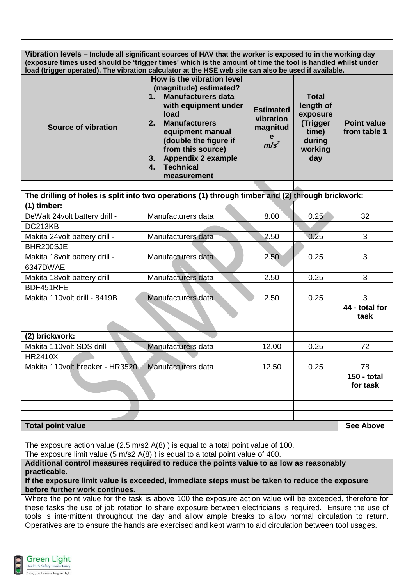**Vibration levels – Include all significant sources of HAV that the worker is exposed to in the working day (exposure times used should be 'trigger times' which is the amount of time the tool is handled whilst under load (trigger operated). The vibration calculator at the HSE web site can also be used if available.**

| Source of vibration | How is the vibration level<br>(magnitude) estimated?<br><b>Manufacturers data</b><br>1.<br>with equipment under<br>load<br><b>Manufacturers</b><br>2.<br>equipment manual<br>(double the figure if<br>from this source)<br><b>Appendix 2 example</b><br>3.<br><b>Technical</b><br>4.<br>measurement | <b>Estimated</b><br>vibration<br>magnitud<br>e<br>m/s <sup>2</sup> | <b>Total</b><br>length of<br>exposure<br>(Trigger<br>time)<br>during<br>working<br>day | <b>Point value</b><br>from table 1 |
|---------------------|-----------------------------------------------------------------------------------------------------------------------------------------------------------------------------------------------------------------------------------------------------------------------------------------------------|--------------------------------------------------------------------|----------------------------------------------------------------------------------------|------------------------------------|

| The drilling of holes is split into two operations (1) through timber and (2) through brickwork: |                    |       |      |                         |  |  |  |  |
|--------------------------------------------------------------------------------------------------|--------------------|-------|------|-------------------------|--|--|--|--|
| (1) timber:                                                                                      |                    |       |      |                         |  |  |  |  |
| DeWalt 24volt battery drill -                                                                    | Manufacturers data | 8.00  | 0.25 | 32                      |  |  |  |  |
| DC213KB                                                                                          |                    |       |      |                         |  |  |  |  |
| Makita 24volt battery drill -                                                                    | Manufacturers data | 2.50  | 0.25 | 3                       |  |  |  |  |
| BHR200SJE                                                                                        |                    |       |      |                         |  |  |  |  |
| Makita 18volt battery drill -                                                                    | Manufacturers data | 2.50  | 0.25 | 3                       |  |  |  |  |
| 6347DWAE                                                                                         |                    |       |      |                         |  |  |  |  |
| Makita 18volt battery drill -                                                                    | Manufacturers data | 2.50  | 0.25 | 3                       |  |  |  |  |
| BDF451RFE                                                                                        |                    |       |      |                         |  |  |  |  |
| Makita 110volt drill - 8419B                                                                     | Manufacturers data | 2.50  | 0.25 | 3                       |  |  |  |  |
|                                                                                                  |                    |       |      | 44 - total for<br>task  |  |  |  |  |
|                                                                                                  |                    |       |      |                         |  |  |  |  |
| (2) brickwork:                                                                                   |                    |       |      |                         |  |  |  |  |
| Makita 110volt SDS drill -                                                                       | Manufacturers data | 12.00 | 0.25 | 72                      |  |  |  |  |
| <b>HR2410X</b>                                                                                   |                    |       |      |                         |  |  |  |  |
| Makita 110volt breaker - HR3520                                                                  | Manufacturers data | 12.50 | 0.25 | 78                      |  |  |  |  |
|                                                                                                  |                    |       |      | 150 - total<br>for task |  |  |  |  |
|                                                                                                  |                    |       |      |                         |  |  |  |  |
|                                                                                                  |                    |       |      |                         |  |  |  |  |
|                                                                                                  |                    |       |      |                         |  |  |  |  |
| <b>Total point value</b>                                                                         |                    |       |      |                         |  |  |  |  |

The exposure action value (2.5 m/s2 A(8) ) is equal to a total point value of 100.

The exposure limit value (5 m/s2 A(8) ) is equal to a total point value of 400.

**Additional control measures required to reduce the points value to as low as reasonably practicable.**

**If the exposure limit value is exceeded, immediate steps must be taken to reduce the exposure before further work continues.**

Where the point value for the task is above 100 the exposure action value will be exceeded, therefore for these tasks the use of job rotation to share exposure between electricians is required. Ensure the use of tools is intermittent throughout the day and allow ample breaks to allow normal circulation to return. Operatives are to ensure the hands are exercised and kept warm to aid circulation between tool usages.

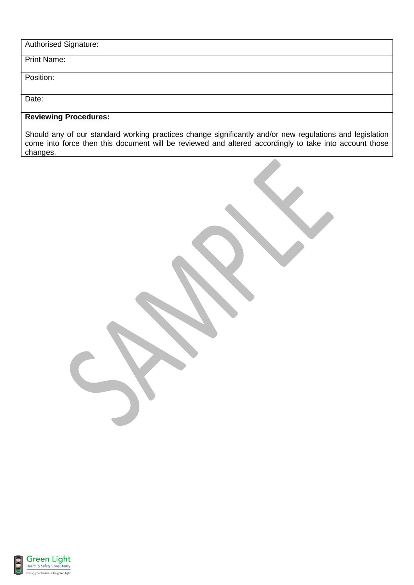| <b>Authorised Signature:</b> |  |
|------------------------------|--|
|------------------------------|--|

Print Name:

Position:

Date:

## **Reviewing Procedures:**

Should any of our standard working practices change significantly and/or new regulations and legislation come into force then this document will be reviewed and altered accordingly to take into account those changes.



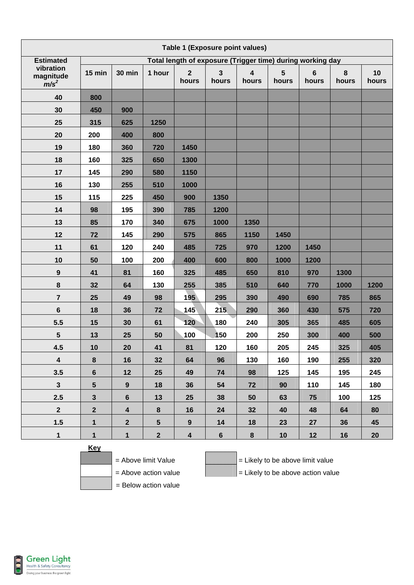| Table 1 (Exposure point values)   |                                                            |                         |                         |                         |                                  |                                  |            |                         |            |             |
|-----------------------------------|------------------------------------------------------------|-------------------------|-------------------------|-------------------------|----------------------------------|----------------------------------|------------|-------------------------|------------|-------------|
| <b>Estimated</b>                  | Total length of exposure (Trigger time) during working day |                         |                         |                         |                                  |                                  |            |                         |            |             |
| vibration<br>magnitude<br>$m/s^2$ | 15 min                                                     | <b>30 min</b>           | 1 hour                  | $\overline{2}$<br>hours | $\overline{\mathbf{3}}$<br>hours | $\overline{\mathbf{4}}$<br>hours | 5<br>hours | $6\phantom{1}$<br>hours | 8<br>hours | 10<br>hours |
| 40                                | 800                                                        |                         |                         |                         |                                  |                                  |            |                         |            |             |
| 30                                | 450                                                        | 900                     |                         |                         |                                  |                                  |            |                         |            |             |
| 25                                | 315                                                        | 625                     | 1250                    |                         |                                  |                                  |            |                         |            |             |
| 20                                | 200                                                        | 400                     | 800                     |                         |                                  |                                  |            |                         |            |             |
| 19                                | 180                                                        | 360                     | 720                     | 1450                    |                                  |                                  |            |                         |            |             |
| 18                                | 160                                                        | 325                     | 650                     | 1300                    |                                  |                                  |            |                         |            |             |
| 17                                | 145                                                        | 290                     | 580                     | 1150                    |                                  |                                  |            |                         |            |             |
| 16                                | 130                                                        | 255                     | 510                     | 1000                    |                                  |                                  |            |                         |            |             |
| 15                                | 115                                                        | 225                     | 450                     | 900                     | 1350                             |                                  |            |                         |            |             |
| 14                                | 98                                                         | 195                     | 390                     | 785                     | 1200                             |                                  |            |                         |            |             |
| 13                                | 85                                                         | 170                     | 1340                    | 675                     | 1000                             | 1350                             |            |                         |            |             |
| 12                                | 72                                                         | 145                     | 290                     | 575                     | 865                              | 1150                             | 1450       |                         |            |             |
| 11                                | 61                                                         | 120                     | 240                     | 485                     | 725                              | 970                              | 1200       | 1450                    |            |             |
| 10                                | 50                                                         | 100                     | 200                     | 400                     | 600                              | 800                              | 1000       | 1200                    |            |             |
| 9                                 | 41                                                         | 81                      | 160                     | 325                     | 485                              | 650                              | 810        | 970                     | 1300       |             |
| 8                                 | 32                                                         | 64                      | 130                     | 255                     | 385                              | 510                              | 640        | 770                     | 1000       | 1200        |
| 7                                 | 25                                                         | 49                      | 98                      | 195                     | 295                              | 390                              | 490        | 690                     | 785        | 865         |
| $6\phantom{1}$                    | 18                                                         | 36                      | 72                      | 145                     | 215                              | 290                              | 360        | 430                     | 575        | 720         |
| 5.5                               | 15                                                         | 30                      | 61                      | 120                     | 180                              | 240                              | 305        | 365                     | 485        | 605         |
| 5                                 | 13                                                         | 25                      | 50                      | 100                     | 150                              | 200                              | 250        | 300                     | 400        | 500         |
| 4.5                               | 10                                                         | 20                      | 41                      | 81                      | 120                              | 160                              | 205        | 245                     | 325        | 405         |
| $\overline{\mathbf{4}}$           | 8                                                          | 16                      | 32                      | 64                      | 96                               | 130                              | 160        | 190                     | 255        | 320         |
| 3.5                               | $6\phantom{1}$                                             | 12                      | 25                      | 49                      | 74                               | 98                               | 125        | 145                     | 195        | 245         |
| $\mathbf{3}$                      | 5 <sup>5</sup>                                             | 9                       | 18                      | 36                      | 54                               | 72                               | 90         | 110                     | 145        | 180         |
| 2.5                               | 3 <sup>1</sup>                                             | $6\phantom{1}$          | 13                      | 25                      | 38                               | 50                               | 63         | 75                      | 100        | 125         |
| 2 <sup>1</sup>                    | $\mathbf{2}$                                               | $\overline{\mathbf{4}}$ | 8                       | 16                      | 24                               | 32                               | 40         | 48                      | 64         | 80          |
| 1.5                               | $\mathbf 1$                                                | $\mathbf{2}$            | $5\phantom{.0}$         | $\boldsymbol{9}$        | 14                               | 18                               | 23         | 27                      | 36         | 45          |
| $\mathbf 1$                       | $\mathbf{1}$                                               | $\mathbf{1}$            | $\overline{\mathbf{2}}$ | $\overline{\mathbf{4}}$ | $6\phantom{a}$                   | 8                                | 10         | 12                      | 16         | 20          |

**Key**



 $=$  Above limit Value  $\qquad \qquad \qquad$   $\qquad \qquad$   $=$  Likely to be above limit value = Above action value  $\qquad \qquad$  = Likely to be above action value

= Below action value